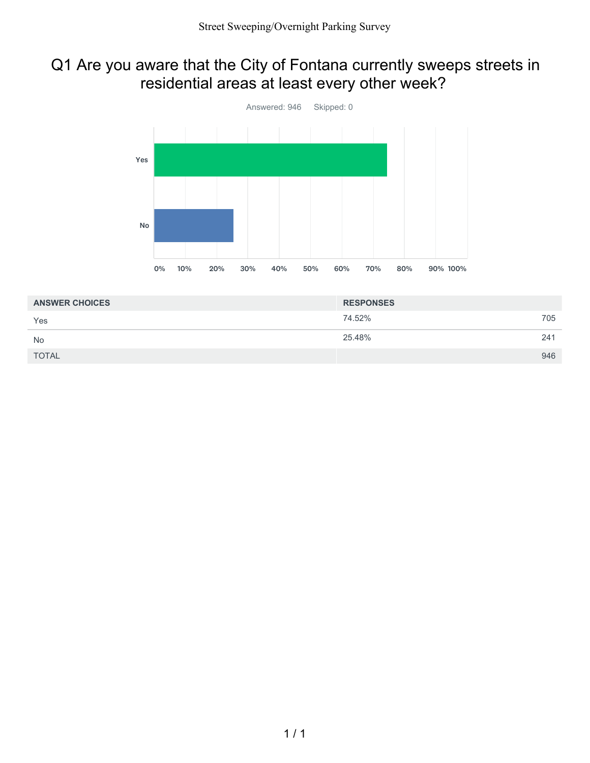#### Q1 Are you aware that the City of Fontana currently sweeps streets in residential areas at least every other week?



| <b>ANSWER CHOICES</b> | <b>RESPONSES</b> |     |
|-----------------------|------------------|-----|
| Yes                   | 74.52%           | 705 |
| <b>No</b>             | 25.48%           | 241 |
| <b>TOTAL</b>          |                  | 946 |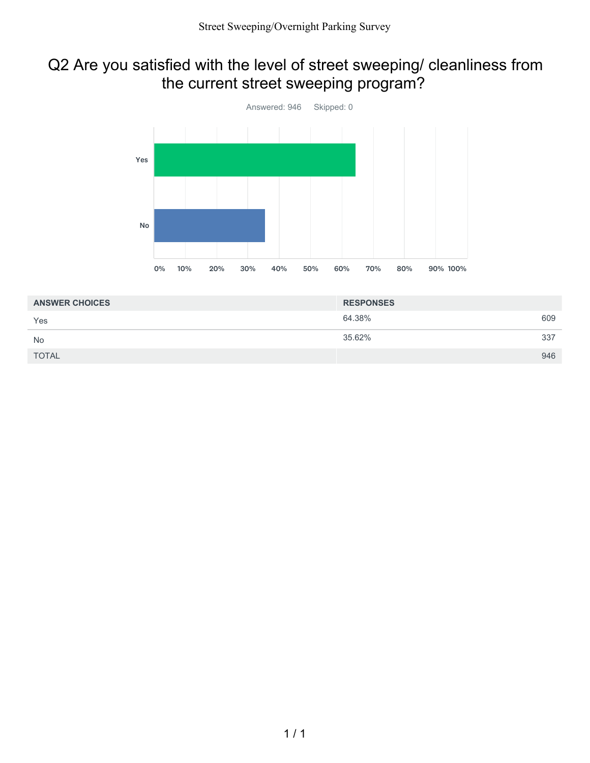# Q2 Are you satisfied with the level of street sweeping/ cleanliness from the current street sweeping program?



| <b>ANSWER CHOICES</b> | <b>RESPONSES</b> |     |
|-----------------------|------------------|-----|
| Yes                   | 64.38%           | 609 |
| <b>No</b>             | 35.62%           | 337 |
| <b>TOTAL</b>          |                  | 946 |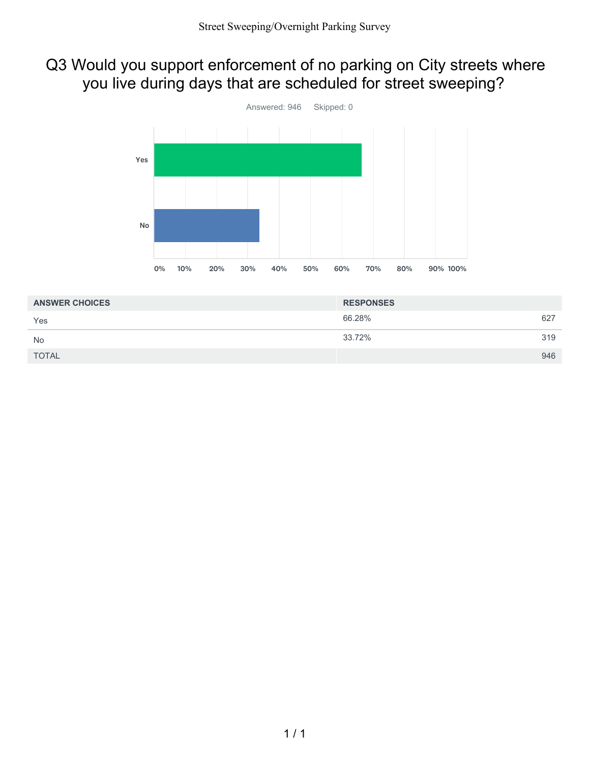# Q3 Would you support enforcement of no parking on City streets where you live during days that are scheduled for street sweeping?



| <b>ANSWER CHOICES</b> | <b>RESPONSES</b> |     |
|-----------------------|------------------|-----|
| Yes                   | 66.28%           | 627 |
| <b>No</b>             | 33.72%           | 319 |
| <b>TOTAL</b>          |                  | 946 |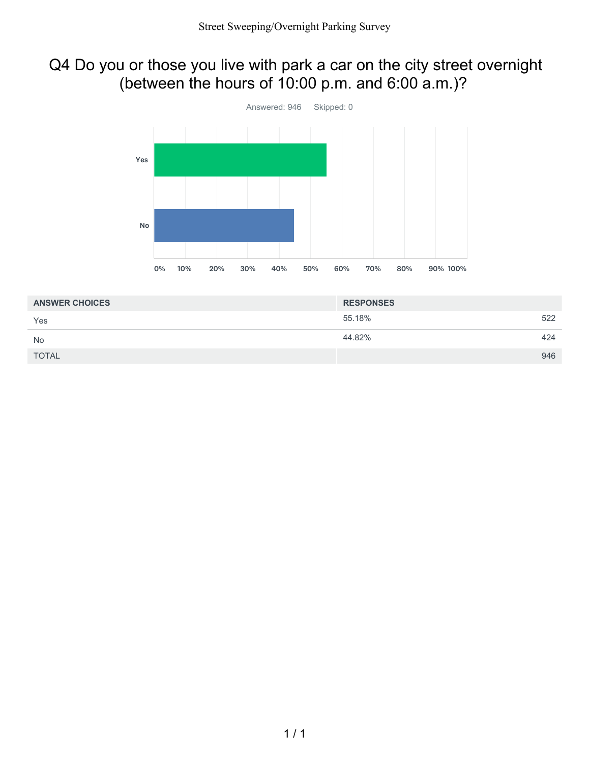### Q4 Do you or those you live with park a car on the city street overnight (between the hours of 10:00 p.m. and 6:00 a.m.)?



| <b>ANSWER CHOICES</b> | <b>RESPONSES</b> |     |
|-----------------------|------------------|-----|
| Yes                   | 55.18%           | 522 |
| <b>No</b>             | 44.82%           | 424 |
| <b>TOTAL</b>          |                  | 946 |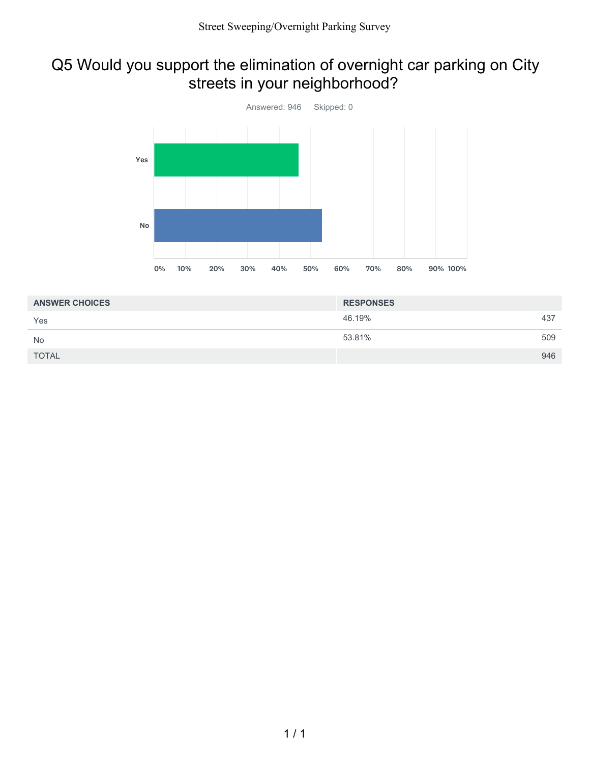### Q5 Would you support the elimination of overnight car parking on City streets in your neighborhood?



| <b>RESPONSES</b> |     |
|------------------|-----|
| 46.19%           | 437 |
| 53.81%           | 509 |
|                  | 946 |
|                  |     |